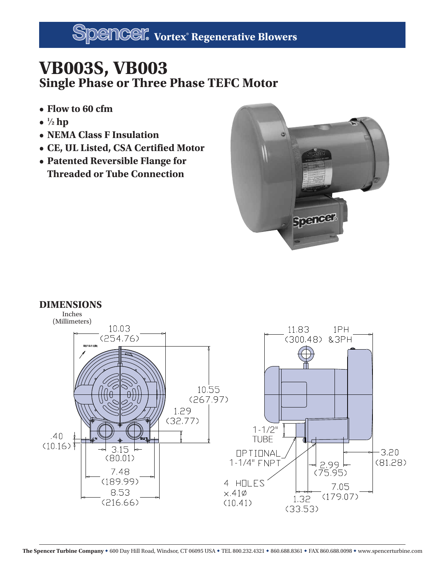## **VB003S, VB003 Single Phase or Three Phase TEFC Motor**

- **Flow to 60 cfm**
- **• <sup>1</sup> ⁄2 hp**
- **NEMA Class F Insulation**
- **CE, UL Listed, CSA Certified Motor**
- **Patented Reversible Flange for Threaded or Tube Connection**